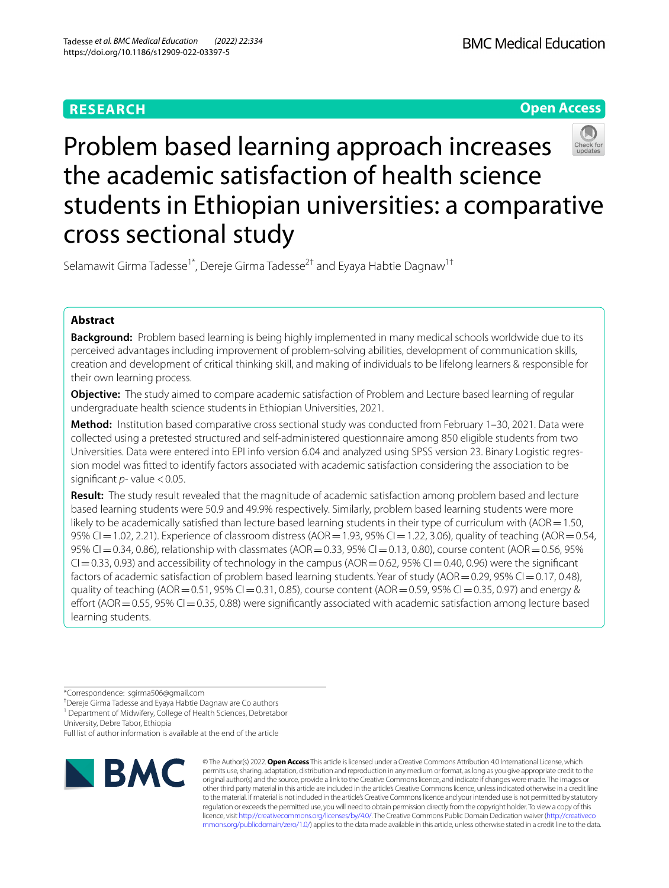# **RESEARCH**

**Open Access**

# Problem based learning approach increases the academic satisfaction of health science students in Ethiopian universities: a comparative cross sectional study

Selamawit Girma Tadesse<sup>1\*</sup>, Dereje Girma Tadesse<sup>2†</sup> and Eyaya Habtie Dagnaw<sup>1†</sup>

# **Abstract**

**Background:** Problem based learning is being highly implemented in many medical schools worldwide due to its perceived advantages including improvement of problem-solving abilities, development of communication skills, creation and development of critical thinking skill, and making of individuals to be lifelong learners & responsible for their own learning process.

**Objective:** The study aimed to compare academic satisfaction of Problem and Lecture based learning of regular undergraduate health science students in Ethiopian Universities, 2021.

**Method:** Institution based comparative cross sectional study was conducted from February 1–30, 2021. Data were collected using a pretested structured and self-administered questionnaire among 850 eligible students from two Universities. Data were entered into EPI info version 6.04 and analyzed using SPSS version 23. Binary Logistic regression model was ftted to identify factors associated with academic satisfaction considering the association to be significant *p*- value <0.05.

**Result:** The study result revealed that the magnitude of academic satisfaction among problem based and lecture based learning students were 50.9 and 49.9% respectively. Similarly, problem based learning students were more likely to be academically satisfied than lecture based learning students in their type of curriculum with (AOR $=1.50$ , 95% CI=1.02, 2.21). Experience of classroom distress (AOR=1.93, 95% CI=1.22, 3.06), quality of teaching (AOR=0.54, 95% CI=0.34, 0.86), relationship with classmates (AOR=0.33, 95% CI=0.13, 0.80), course content (AOR=0.56, 95%  $Cl = 0.33$ , 0.93) and accessibility of technology in the campus (AOR=0.62, 95%  $Cl = 0.40$ , 0.96) were the significant factors of academic satisfaction of problem based learning students. Year of study (AOR =  $0.29$ , 95% CI =  $0.17$ , 0.48), quality of teaching (AOR = 0.51, 95% CI = 0.31, 0.85), course content (AOR = 0.59, 95% CI = 0.35, 0.97) and energy & effort (AOR=0.55, 95% CI=0.35, 0.88) were significantly associated with academic satisfaction among lecture based learning students.

\*Correspondence: sgirma506@gmail.com

† Dereje Girma Tadesse and Eyaya Habtie Dagnaw are Co authors <sup>1</sup> Department of Midwifery, College of Health Sciences, Debretabor

University, Debre Tabor, Ethiopia

Full list of author information is available at the end of the article



© The Author(s) 2022. **Open Access** This article is licensed under a Creative Commons Attribution 4.0 International License, which permits use, sharing, adaptation, distribution and reproduction in any medium or format, as long as you give appropriate credit to the original author(s) and the source, provide a link to the Creative Commons licence, and indicate if changes were made. The images or other third party material in this article are included in the article's Creative Commons licence, unless indicated otherwise in a credit line to the material. If material is not included in the article's Creative Commons licence and your intended use is not permitted by statutory regulation or exceeds the permitted use, you will need to obtain permission directly from the copyright holder. To view a copy of this licence, visit [http://creativecommons.org/licenses/by/4.0/.](http://creativecommons.org/licenses/by/4.0/) The Creative Commons Public Domain Dedication waiver ([http://creativeco](http://creativecommons.org/publicdomain/zero/1.0/) [mmons.org/publicdomain/zero/1.0/](http://creativecommons.org/publicdomain/zero/1.0/)) applies to the data made available in this article, unless otherwise stated in a credit line to the data.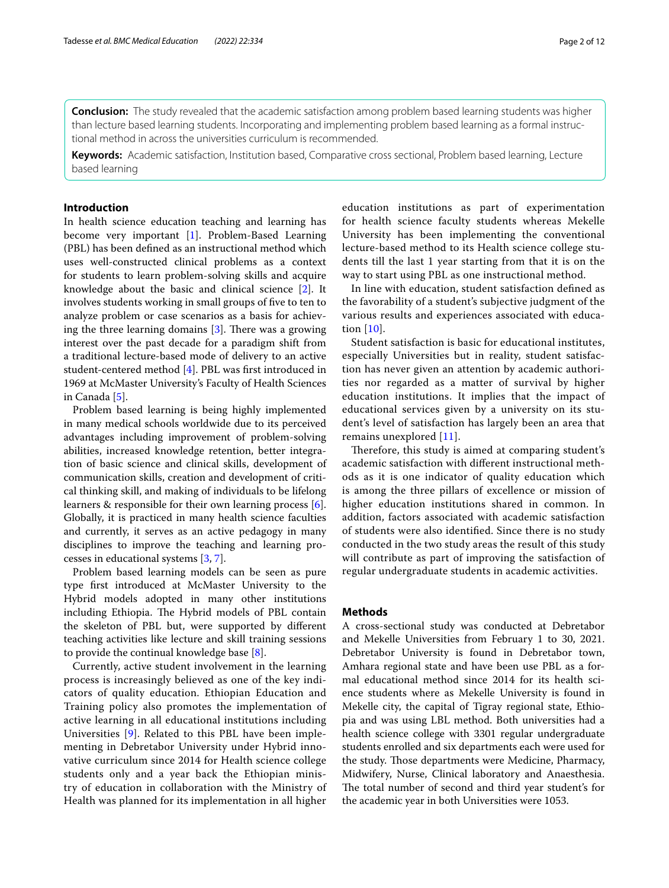**Conclusion:** The study revealed that the academic satisfaction among problem based learning students was higher than lecture based learning students. Incorporating and implementing problem based learning as a formal instructional method in across the universities curriculum is recommended.

**Keywords:** Academic satisfaction, Institution based, Comparative cross sectional, Problem based learning, Lecture based learning

# **Introduction**

In health science education teaching and learning has become very important [[1\]](#page-10-0). Problem-Based Learning (PBL) has been defned as an instructional method which uses well-constructed clinical problems as a context for students to learn problem-solving skills and acquire knowledge about the basic and clinical science [\[2\]](#page-10-1). It involves students working in small groups of fve to ten to analyze problem or case scenarios as a basis for achieving the three learning domains  $[3]$ . There was a growing interest over the past decade for a paradigm shift from a traditional lecture-based mode of delivery to an active student-centered method [\[4\]](#page-10-3). PBL was frst introduced in 1969 at McMaster University's Faculty of Health Sciences in Canada [[5](#page-10-4)].

Problem based learning is being highly implemented in many medical schools worldwide due to its perceived advantages including improvement of problem-solving abilities, increased knowledge retention, better integration of basic science and clinical skills, development of communication skills, creation and development of critical thinking skill, and making of individuals to be lifelong learners & responsible for their own learning process [\[6](#page-10-5)]. Globally, it is practiced in many health science faculties and currently, it serves as an active pedagogy in many disciplines to improve the teaching and learning processes in educational systems [[3](#page-10-2), [7\]](#page-10-6).

Problem based learning models can be seen as pure type frst introduced at McMaster University to the Hybrid models adopted in many other institutions including Ethiopia. The Hybrid models of PBL contain the skeleton of PBL but, were supported by diferent teaching activities like lecture and skill training sessions to provide the continual knowledge base [[8\]](#page-10-7).

Currently, active student involvement in the learning process is increasingly believed as one of the key indicators of quality education. Ethiopian Education and Training policy also promotes the implementation of active learning in all educational institutions including Universities [[9\]](#page-10-8). Related to this PBL have been implementing in Debretabor University under Hybrid innovative curriculum since 2014 for Health science college students only and a year back the Ethiopian ministry of education in collaboration with the Ministry of Health was planned for its implementation in all higher education institutions as part of experimentation for health science faculty students whereas Mekelle University has been implementing the conventional lecture-based method to its Health science college students till the last 1 year starting from that it is on the way to start using PBL as one instructional method.

In line with education, student satisfaction defned as the favorability of a student's subjective judgment of the various results and experiences associated with education [[10\]](#page-10-9).

Student satisfaction is basic for educational institutes, especially Universities but in reality, student satisfaction has never given an attention by academic authorities nor regarded as a matter of survival by higher education institutions. It implies that the impact of educational services given by a university on its student's level of satisfaction has largely been an area that remains unexplored [\[11\]](#page-10-10).

Therefore, this study is aimed at comparing student's academic satisfaction with diferent instructional methods as it is one indicator of quality education which is among the three pillars of excellence or mission of higher education institutions shared in common. In addition, factors associated with academic satisfaction of students were also identifed. Since there is no study conducted in the two study areas the result of this study will contribute as part of improving the satisfaction of regular undergraduate students in academic activities.

## **Methods**

A cross-sectional study was conducted at Debretabor and Mekelle Universities from February 1 to 30, 2021. Debretabor University is found in Debretabor town, Amhara regional state and have been use PBL as a formal educational method since 2014 for its health science students where as Mekelle University is found in Mekelle city, the capital of Tigray regional state, Ethiopia and was using LBL method. Both universities had a health science college with 3301 regular undergraduate students enrolled and six departments each were used for the study. Those departments were Medicine, Pharmacy, Midwifery, Nurse, Clinical laboratory and Anaesthesia. The total number of second and third year student's for the academic year in both Universities were 1053.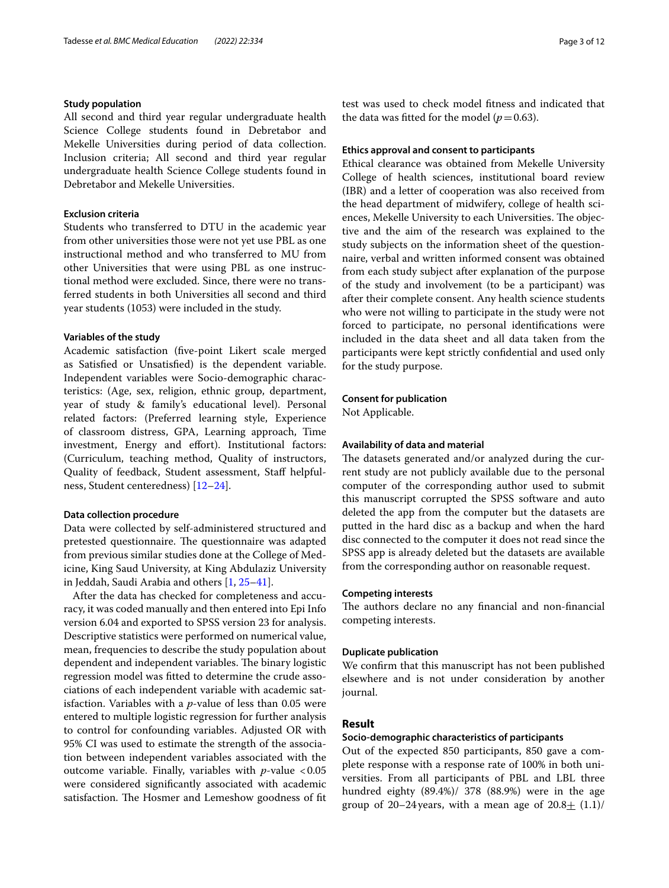# **Study population**

All second and third year regular undergraduate health Science College students found in Debretabor and Mekelle Universities during period of data collection. Inclusion criteria; All second and third year regular undergraduate health Science College students found in Debretabor and Mekelle Universities.

# **Exclusion criteria**

Students who transferred to DTU in the academic year from other universities those were not yet use PBL as one instructional method and who transferred to MU from other Universities that were using PBL as one instructional method were excluded. Since, there were no transferred students in both Universities all second and third year students (1053) were included in the study.

## **Variables of the study**

Academic satisfaction (fve-point Likert scale merged as Satisfed or Unsatisfed) is the dependent variable. Independent variables were Socio-demographic characteristics: (Age, sex, religion, ethnic group, department, year of study & family's educational level). Personal related factors: (Preferred learning style, Experience of classroom distress, GPA, Learning approach, Time investment, Energy and effort). Institutional factors: (Curriculum, teaching method, Quality of instructors, Quality of feedback, Student assessment, Staf helpfulness, Student centeredness) [[12–](#page-10-11)[24](#page-10-12)].

## **Data collection procedure**

Data were collected by self-administered structured and pretested questionnaire. The questionnaire was adapted from previous similar studies done at the College of Medicine, King Saud University, at King Abdulaziz University in Jeddah, Saudi Arabia and others [\[1](#page-10-0), [25](#page-10-13)[–41](#page-11-0)].

After the data has checked for completeness and accuracy, it was coded manually and then entered into Epi Info version 6.04 and exported to SPSS version 23 for analysis. Descriptive statistics were performed on numerical value, mean, frequencies to describe the study population about dependent and independent variables. The binary logistic regression model was ftted to determine the crude associations of each independent variable with academic satisfaction. Variables with a *p*-value of less than 0.05 were entered to multiple logistic regression for further analysis to control for confounding variables. Adjusted OR with 95% CI was used to estimate the strength of the association between independent variables associated with the outcome variable. Finally, variables with *p*-value <0.05 were considered signifcantly associated with academic satisfaction. The Hosmer and Lemeshow goodness of fit test was used to check model ftness and indicated that the data was fitted for the model  $(p=0.63)$ .

## **Ethics approval and consent to participants**

Ethical clearance was obtained from Mekelle University College of health sciences, institutional board review (IBR) and a letter of cooperation was also received from the head department of midwifery, college of health sciences, Mekelle University to each Universities. The objective and the aim of the research was explained to the study subjects on the information sheet of the questionnaire, verbal and written informed consent was obtained from each study subject after explanation of the purpose of the study and involvement (to be a participant) was after their complete consent. Any health science students who were not willing to participate in the study were not forced to participate, no personal identifcations were included in the data sheet and all data taken from the participants were kept strictly confdential and used only for the study purpose.

## **Consent for publication**

Not Applicable.

## **Availability of data and material**

The datasets generated and/or analyzed during the current study are not publicly available due to the personal computer of the corresponding author used to submit this manuscript corrupted the SPSS software and auto deleted the app from the computer but the datasets are putted in the hard disc as a backup and when the hard disc connected to the computer it does not read since the SPSS app is already deleted but the datasets are available from the corresponding author on reasonable request.

## **Competing interests**

The authors declare no any financial and non-financial competing interests.

## **Duplicate publication**

We confrm that this manuscript has not been published elsewhere and is not under consideration by another journal.

## **Result**

## **Socio‑demographic characteristics of participants**

Out of the expected 850 participants, 850 gave a complete response with a response rate of 100% in both universities. From all participants of PBL and LBL three hundred eighty (89.4%)/ 378 (88.9%) were in the age group of 20–24 years, with a mean age of  $20.8\pm(1.1)$ /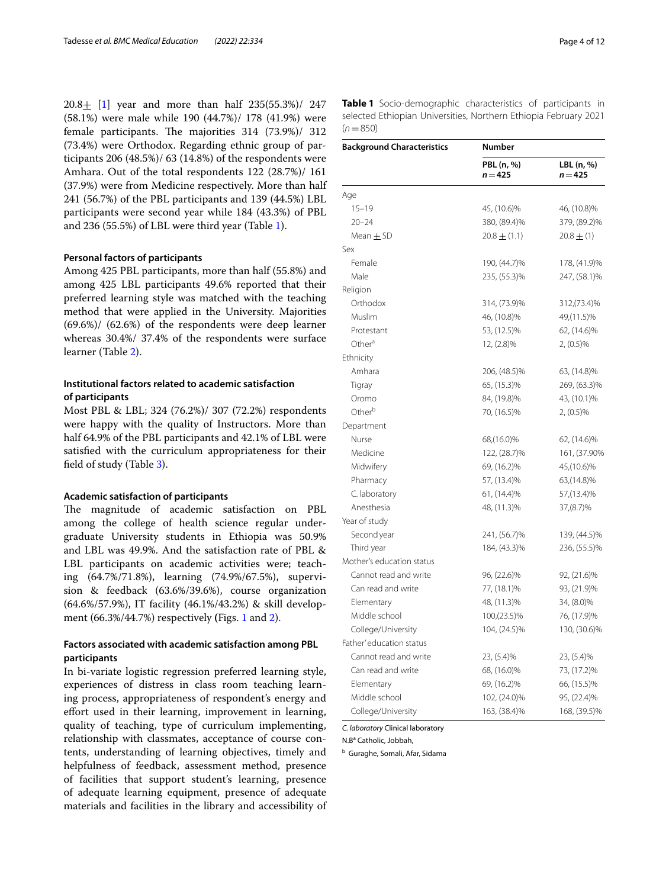20.8+ [\[1](#page-10-0)] year and more than half 235(55.3%)/ 247 (58.1%) were male while 190 (44.7%)/ 178 (41.9%) were female participants. The majorities  $314$  (73.9%)/  $312$ (73.4%) were Orthodox. Regarding ethnic group of participants 206 (48.5%)/ 63 (14.8%) of the respondents were Amhara. Out of the total respondents 122 (28.7%)/ 161 (37.9%) were from Medicine respectively. More than half 241 (56.7%) of the PBL participants and 139 (44.5%) LBL participants were second year while 184 (43.3%) of PBL and 236 (55.5%) of LBL were third year (Table [1](#page-3-0)).

## **Personal factors of participants**

Among 425 PBL participants, more than half (55.8%) and among 425 LBL participants 49.6% reported that their preferred learning style was matched with the teaching method that were applied in the University. Majorities (69.6%)/ (62.6%) of the respondents were deep learner whereas 30.4%/ 37.4% of the respondents were surface learner (Table [2\)](#page-4-0).

# **Institutional factors related to academic satisfaction of participants**

Most PBL & LBL; 324 (76.2%)/ 307 (72.2%) respondents were happy with the quality of Instructors. More than half 64.9% of the PBL participants and 42.1% of LBL were satisfed with the curriculum appropriateness for their feld of study (Table [3](#page-5-0)).

## **Academic satisfaction of participants**

The magnitude of academic satisfaction on PBL among the college of health science regular undergraduate University students in Ethiopia was 50.9% and LBL was 49.9%. And the satisfaction rate of PBL & LBL participants on academic activities were; teaching (64.7%/71.8%), learning (74.9%/67.5%), supervision & feedback (63.6%/39.6%), course organization (64.6%/57.9%), IT facility (46.1%/43.2%) & skill development (66.3%/44.7%) respectively **(**Figs. [1](#page-6-0) and [2\)](#page-6-1).

# **Factors associated with academic satisfaction among PBL participants**

In bi-variate logistic regression preferred learning style, experiences of distress in class room teaching learning process, appropriateness of respondent's energy and efort used in their learning, improvement in learning, quality of teaching, type of curriculum implementing, relationship with classmates, acceptance of course contents, understanding of learning objectives, timely and helpfulness of feedback, assessment method, presence of facilities that support student's learning, presence of adequate learning equipment, presence of adequate materials and facilities in the library and accessibility of

<span id="page-3-0"></span>**Table 1** Socio-demographic characteristics of participants in selected Ethiopian Universities, Northern Ethiopia February 2021  $(n=850)$ 

| <b>Background Characteristics</b> | Number                  |                         |  |
|-----------------------------------|-------------------------|-------------------------|--|
|                                   | PBL (n, %)<br>$n = 425$ | LBL (n, %)<br>$n = 425$ |  |
| Age                               |                         |                         |  |
| $15 - 19$                         | 45, (10.6)%             | 46, (10.8)%             |  |
| $20 - 24$                         | 380, (89.4)%            | 379, (89.2)%            |  |
| Mean $\pm$ SD                     | $20.8 \pm (1.1)$        | $20.8 \pm (1)$          |  |
| Sex                               |                         |                         |  |
| Female                            | 190, (44.7)%            | 178, (41.9)%            |  |
| Male                              | 235, (55.3)%            | 247, (58.1)%            |  |
| Religion                          |                         |                         |  |
| Orthodox                          | 314, (73.9)%            | 312, (73.4)%            |  |
| Muslim                            | 46, (10.8)%             | 49, (11.5)%             |  |
| Protestant                        | 53, (12.5)%             | 62, (14.6)%             |  |
| Other <sup>a</sup>                | 12, (2.8)%              | $2, (0.5)\%$            |  |
| Ethnicity                         |                         |                         |  |
| Amhara                            | 206, (48.5)%            | 63, (14.8)%             |  |
| Tigray                            | 65, (15.3)%             | 269, (63.3)%            |  |
| Oromo                             | 84, (19.8)%             | 43, (10.1)%             |  |
| Other <sup>b</sup>                | 70, (16.5)%             | 2, (0.5)%               |  |
| Department                        |                         |                         |  |
| Nurse                             | 68, (16.0)%             | 62, (14.6)%             |  |
| Medicine                          | 122, (28.7)%            | 161, (37.90%            |  |
| Midwifery                         | 69, (16.2)%             | 45, (10.6)%             |  |
| Pharmacy                          | 57, (13.4)%             | 63, (14.8)%             |  |
| C. laboratory                     | 61, (14.4)%             | 57, (13.4)%             |  |
| Anesthesia                        | 48, (11.3)%             | 37, (8.7)%              |  |
| Year of study                     |                         |                         |  |
| Second year                       | 241, (56.7)%            | 139, (44.5)%            |  |
| Third year                        | 184, (43.3)%            | 236, (55.5)%            |  |
| Mother's education status         |                         |                         |  |
| Cannot read and write             | 96, (22.6)%             | 92, (21.6)%             |  |
| Can read and write                | 77, (18.1)%             | 93, (21.9)%             |  |
| Elementary                        | 48, (11.3)%             | 34, (8.0)%              |  |
| Middle school                     | 100, (23.5)%            | 76, (17.9)%             |  |
| College/University                | 104, (24.5)%            | 130, (30.6)%            |  |
| Father' education status          |                         |                         |  |
| Cannot read and write             | 23, (5.4)%              | 23, (5.4)%              |  |
| Can read and write                | 68, (16.0)%             | 73, (17.2)%             |  |
| Elementary                        | 69, (16.2)%             | 66, (15.5)%             |  |
| Middle school                     | 102, (24.0)%            | 95, (22.4)%             |  |
| College/University                | 163, (38.4)%            | 168, (39.5)%            |  |

#### *C. laboratory* Clinical laboratory

N.B<sup>a</sup> Catholic, Jobbah,

<sup>b</sup> Guraghe, Somali, Afar, Sidama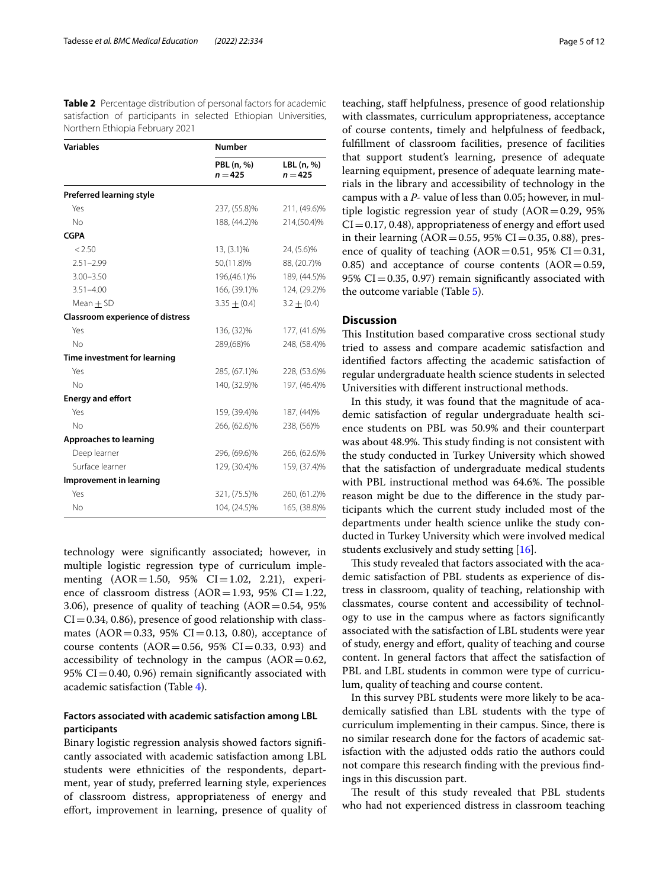<span id="page-4-0"></span>**Table 2** Percentage distribution of personal factors for academic satisfaction of participants in selected Ethiopian Universities, Northern Ethiopia February 2021

| <b>Variables</b>                        | <b>Number</b>           |                         |  |
|-----------------------------------------|-------------------------|-------------------------|--|
|                                         | PBL (n, %)<br>$n = 425$ | LBL (n, %)<br>$n = 425$ |  |
| <b>Preferred learning style</b>         |                         |                         |  |
| Yes                                     | 237, (55.8)%            | 211, (49.6)%            |  |
| No                                      | 188, (44.2)%            | 214, (50.4)%            |  |
| <b>CGPA</b>                             |                         |                         |  |
| < 2.50                                  | $13, (3.1)\%$           | 24, (5.6)%              |  |
| $2.51 - 2.99$                           | 50, (11.8)%             | 88, (20.7)%             |  |
| $3.00 - 3.50$                           | 196, (46.1)%            | 189, (44.5)%            |  |
| $3.51 - 4.00$                           | 166, (39.1)%            | 124, (29.2)%            |  |
| Mean $\pm$ SD                           | $3.35 \pm (0.4)$        | $3.2 \pm (0.4)$         |  |
| <b>Classroom experience of distress</b> |                         |                         |  |
| Yes                                     | 136, (32)%              | 177, (41.6)%            |  |
| No.                                     | 289, (68)%              | 248, (58.4)%            |  |
| Time investment for learning            |                         |                         |  |
| Yes                                     | 285, (67.1)%            | 228, (53.6)%            |  |
| No                                      | 140, (32.9)%            | 197, (46.4)%            |  |
| <b>Energy and effort</b>                |                         |                         |  |
| Yes                                     | 159, (39.4)%            | 187, (44)%              |  |
| No                                      | 266, (62.6)%            | 238, (56)%              |  |
| Approaches to learning                  |                         |                         |  |
| Deep learner                            | 296, (69.6)%            | 266, (62.6)%            |  |
| Surface learner                         | 129, (30.4)%            | 159, (37.4)%            |  |
| Improvement in learning                 |                         |                         |  |
| Yes                                     | 321, (75.5)%            | 260, (61.2)%            |  |
| No                                      | 104, (24.5)%            | 165, (38.8)%            |  |

technology were signifcantly associated; however, in multiple logistic regression type of curriculum implementing  $(AOR = 1.50, 95\% \text{ CI} = 1.02, 2.21)$ , experience of classroom distress  $(AOR=1.93, 95\% CI=1.22,$ 3.06), presence of quality of teaching  $(AOR = 0.54, 95\%)$  $CI = 0.34, 0.86$ , presence of good relationship with classmates (AOR=0.33, 95% CI=0.13, 0.80), acceptance of course contents ( $AOR = 0.56$ , 95%  $CI = 0.33$ , 0.93) and accessibility of technology in the campus  $(AOR = 0.62,$ 95%  $CI = 0.40$ , 0.96) remain significantly associated with academic satisfaction (Table [4\)](#page-7-0).

# **Factors associated with academic satisfaction among LBL participants**

Binary logistic regression analysis showed factors signifcantly associated with academic satisfaction among LBL students were ethnicities of the respondents, department, year of study, preferred learning style, experiences of classroom distress, appropriateness of energy and effort, improvement in learning, presence of quality of teaching, staf helpfulness, presence of good relationship with classmates, curriculum appropriateness, acceptance of course contents, timely and helpfulness of feedback, fulfllment of classroom facilities, presence of facilities that support student's learning, presence of adequate learning equipment, presence of adequate learning materials in the library and accessibility of technology in the campus with a *P*- value of less than 0.05; however, in multiple logistic regression year of study  $(AOR=0.29, 95\%)$  $CI = 0.17, 0.48$ ), appropriateness of energy and effort used in their learning ( $AOR = 0.55$ , 95% CI = 0.35, 0.88), presence of quality of teaching  $(AOR = 0.51, 95\% \text{ CI} = 0.31,$ 0.85) and acceptance of course contents  $(AOR=0.59, 0.65)$ 95%  $CI = 0.35$ , 0.97) remain significantly associated with the outcome variable (Table [5](#page-8-0)).

# **Discussion**

This Institution based comparative cross sectional study tried to assess and compare academic satisfaction and identifed factors afecting the academic satisfaction of regular undergraduate health science students in selected Universities with diferent instructional methods.

In this study, it was found that the magnitude of academic satisfaction of regular undergraduate health science students on PBL was 50.9% and their counterpart was about 48.9%. This study finding is not consistent with the study conducted in Turkey University which showed that the satisfaction of undergraduate medical students with PBL instructional method was 64.6%. The possible reason might be due to the diference in the study participants which the current study included most of the departments under health science unlike the study conducted in Turkey University which were involved medical students exclusively and study setting [[16](#page-10-14)].

This study revealed that factors associated with the academic satisfaction of PBL students as experience of distress in classroom, quality of teaching, relationship with classmates, course content and accessibility of technology to use in the campus where as factors signifcantly associated with the satisfaction of LBL students were year of study, energy and efort, quality of teaching and course content. In general factors that afect the satisfaction of PBL and LBL students in common were type of curriculum, quality of teaching and course content.

In this survey PBL students were more likely to be academically satisfed than LBL students with the type of curriculum implementing in their campus. Since, there is no similar research done for the factors of academic satisfaction with the adjusted odds ratio the authors could not compare this research fnding with the previous fndings in this discussion part.

The result of this study revealed that PBL students who had not experienced distress in classroom teaching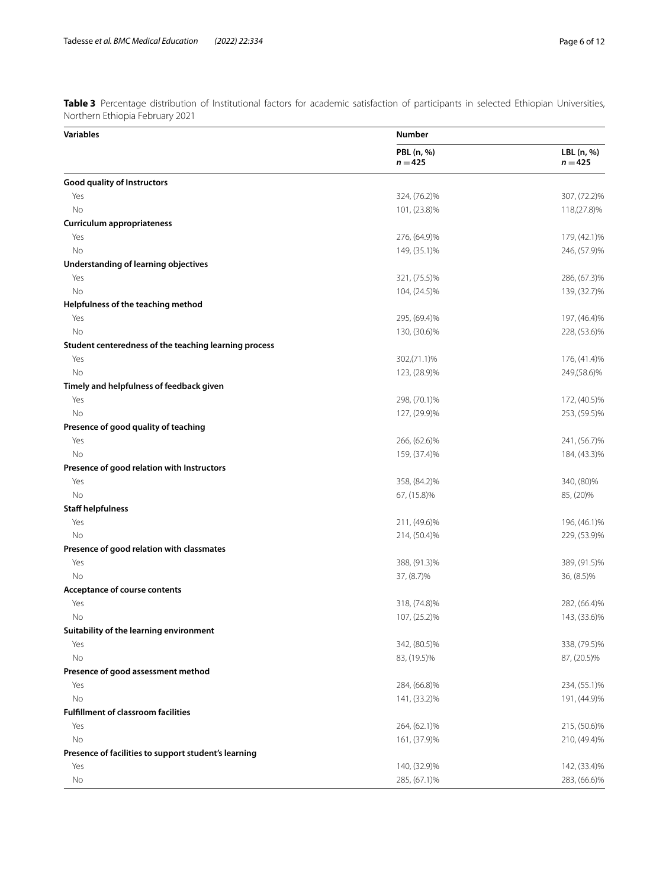<span id="page-5-0"></span>**Table 3** Percentage distribution of Institutional factors for academic satisfaction of participants in selected Ethiopian Universities, Northern Ethiopia February 2021

| Variables                                             | <b>Number</b>           |                         |  |
|-------------------------------------------------------|-------------------------|-------------------------|--|
|                                                       | PBL (n, %)<br>$n = 425$ | LBL (n, %)<br>$n = 425$ |  |
| Good quality of Instructors                           |                         |                         |  |
| Yes                                                   | 324, (76.2)%            | 307, (72.2)%            |  |
| <b>No</b>                                             | 101, (23.8)%            | 118, (27.8)%            |  |
| Curriculum appropriateness                            |                         |                         |  |
| Yes                                                   | 276, (64.9)%            | 179, (42.1)%            |  |
| No                                                    | 149, (35.1)%            | 246, (57.9)%            |  |
| Understanding of learning objectives                  |                         |                         |  |
| Yes                                                   | 321, (75.5)%            | 286, (67.3)%            |  |
| No                                                    | 104, (24.5)%            | 139, (32.7)%            |  |
| Helpfulness of the teaching method                    |                         |                         |  |
| Yes                                                   | 295, (69.4)%            | 197, (46.4)%            |  |
| No                                                    | 130, (30.6)%            | 228, (53.6)%            |  |
| Student centeredness of the teaching learning process |                         |                         |  |
| Yes                                                   | 302, (71.1)%            | 176, (41.4)%            |  |
| No                                                    | 123, (28.9)%            | 249, (58.6)%            |  |
| Timely and helpfulness of feedback given              |                         |                         |  |
| Yes                                                   | 298, (70.1)%            | 172, (40.5)%            |  |
| No                                                    | 127, (29.9)%            | 253, (59.5)%            |  |
| Presence of good quality of teaching                  |                         |                         |  |
| Yes                                                   | 266, (62.6)%            | 241, (56.7)%            |  |
| No                                                    | 159, (37.4)%            | 184, (43.3)%            |  |
| Presence of good relation with Instructors            |                         |                         |  |
| Yes                                                   | 358, (84.2)%            | 340, (80)%              |  |
| No                                                    | 67, (15.8)%             | 85, (20)%               |  |
| <b>Staff helpfulness</b>                              |                         |                         |  |
| Yes                                                   | 211, (49.6)%            | 196, (46.1)%            |  |
| No                                                    | 214, (50.4)%            | 229, (53.9)%            |  |
| Presence of good relation with classmates             |                         |                         |  |
| Yes                                                   | 388, (91.3)%            | 389, (91.5)%            |  |
| No                                                    | 37, (8.7)%              | 36, (8.5)%              |  |
| Acceptance of course contents                         |                         |                         |  |
| Yes                                                   | 318, (74.8)%            | 282, (66.4)%            |  |
| No                                                    | 107, (25.2)%            | 143, (33.6)%            |  |
| Suitability of the learning environment               |                         |                         |  |
| Yes                                                   | 342, (80.5)%            | 338, (79.5)%            |  |
| No                                                    | 83, (19.5)%             | 87, (20.5)%             |  |
| Presence of good assessment method                    |                         |                         |  |
| Yes                                                   | 284, (66.8)%            | 234, (55.1)%            |  |
| No                                                    | 141, (33.2)%            | 191, (44.9)%            |  |
| <b>Fulfillment of classroom facilities</b>            |                         |                         |  |
| Yes                                                   | 264, (62.1)%            | 215, (50.6)%            |  |
| No                                                    | 161, (37.9)%            | 210, (49.4)%            |  |
| Presence of facilities to support student's learning  |                         |                         |  |
| Yes                                                   | 140, (32.9)%            | 142, (33.4)%            |  |
| No                                                    | 285, (67.1)%            | 283, (66.6)%            |  |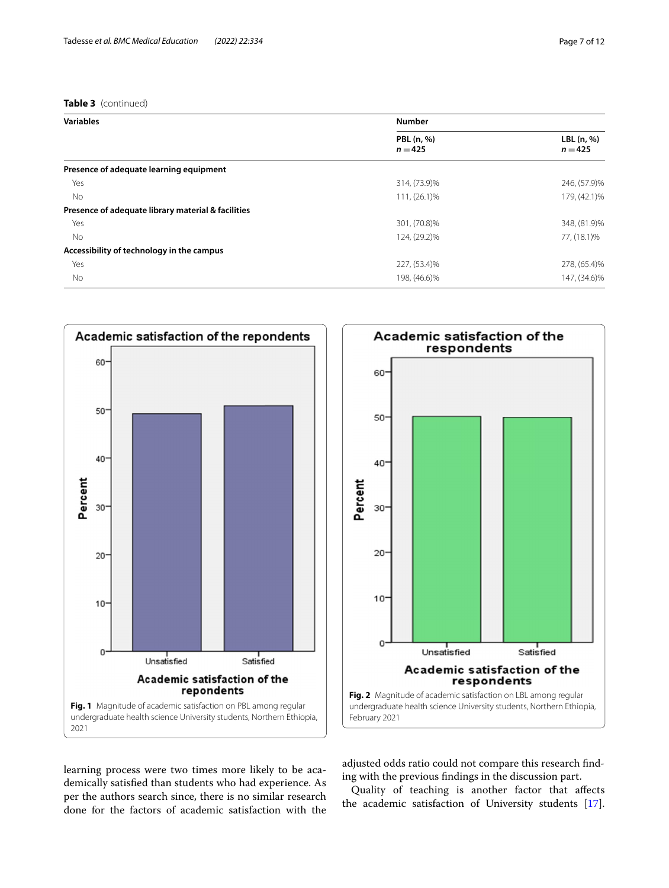# **Table 3** (continued)

| <b>Variables</b>                                   | <b>Number</b>           |                         |  |  |
|----------------------------------------------------|-------------------------|-------------------------|--|--|
|                                                    | PBL (n, %)<br>$n = 425$ | LBL (n, %)<br>$n = 425$ |  |  |
| Presence of adequate learning equipment            |                         |                         |  |  |
| Yes                                                | 314, (73.9)%            | 246, (57.9)%            |  |  |
| No.                                                | 111, (26.1)%            | 179, (42.1)%            |  |  |
| Presence of adequate library material & facilities |                         |                         |  |  |
| Yes                                                | 301, (70.8)%            | 348, (81.9)%            |  |  |
| No                                                 | 124, (29.2)%            | 77, (18.1)%             |  |  |
| Accessibility of technology in the campus          |                         |                         |  |  |
| Yes                                                | 227, (53.4)%            | 278, (65.4)%            |  |  |
| No                                                 | 198, (46.6)%            | 147, (34.6)%            |  |  |



Academic satisfaction of the respondents 60 50  $40<sup>°</sup>$ Percent  $30<sup>°</sup>$ 20  $10$  $\mathbf{0}$ ا<br>Satisfied Unsatisfied Academic satisfaction of the respondents **Fig. 2** Magnitude of academic satisfaction on LBL among regular undergraduate health science University students, Northern Ethiopia, February 2021

<span id="page-6-0"></span>learning process were two times more likely to be academically satisfed than students who had experience. As per the authors search since, there is no similar research done for the factors of academic satisfaction with the <span id="page-6-1"></span>adjusted odds ratio could not compare this research fnding with the previous fndings in the discussion part.

Quality of teaching is another factor that afects the academic satisfaction of University students [\[17](#page-10-15)].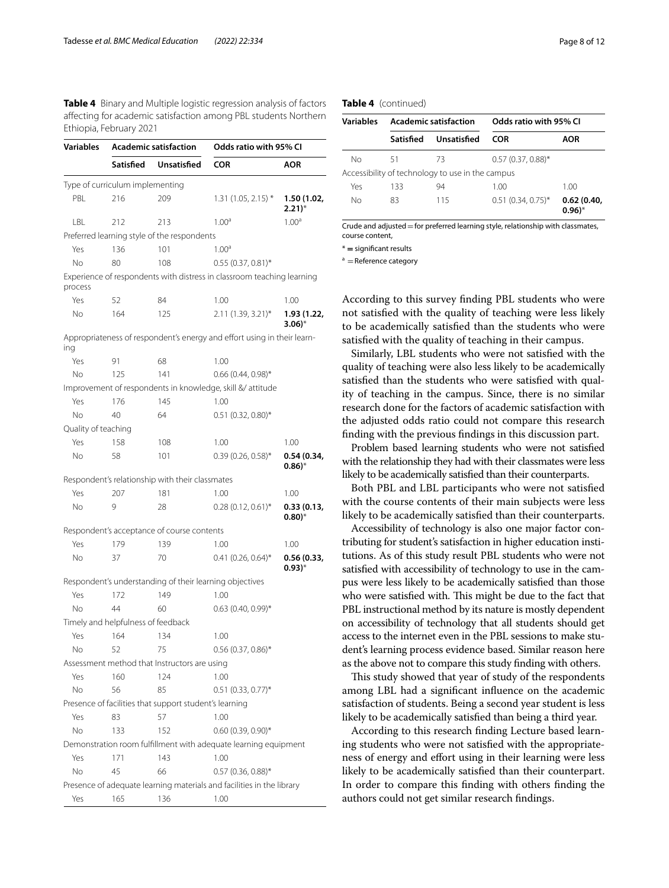<span id="page-7-0"></span>**Table 4** Binary and Multiple logistic regression analysis of factors afecting for academic satisfaction among PBL students Northern Ethiopia, February 2021

| Variables           | <b>Academic satisfaction</b>       |                                                        | Odds ratio with 95% CI                                                  |                                     |
|---------------------|------------------------------------|--------------------------------------------------------|-------------------------------------------------------------------------|-------------------------------------|
|                     | Satisfied                          | <b>Unsatisfied</b>                                     | <b>COR</b>                                                              | <b>AOR</b>                          |
|                     | Type of curriculum implementing    |                                                        |                                                                         |                                     |
| PBL                 | 216                                | 209                                                    | $1.31(1.05, 2.15)$ *                                                    | 1.50 (1.02,<br>$2.21)$ <sup>*</sup> |
| LBL                 | 212                                | 213                                                    | 1.00 <sup>a</sup>                                                       | 1.00 <sup>a</sup>                   |
|                     |                                    | Preferred learning style of the respondents            |                                                                         |                                     |
| Yes                 | 136                                | 101                                                    | 1.00 <sup>a</sup>                                                       |                                     |
| No.                 | 80                                 | 108                                                    | $0.55(0.37, 0.81)$ *                                                    |                                     |
| process             |                                    |                                                        | Experience of respondents with distress in classroom teaching learning  |                                     |
| Yes                 | 52                                 | 84                                                     | 1.00                                                                    | 1.00                                |
| No.                 | 164                                | 125                                                    | $2.11(1.39, 3.21)^{*}$                                                  | 1.93 (1.22,<br>$3.06$ <sup>*</sup>  |
| ing                 |                                    |                                                        | Appropriateness of respondent's energy and effort using in their learn- |                                     |
| Yes                 | 91                                 | 68                                                     | 1.00                                                                    |                                     |
| No.                 | 125                                | 141                                                    | $0.66$ (0.44, 0.98)*                                                    |                                     |
|                     |                                    |                                                        | Improvement of respondents in knowledge, skill & attitude               |                                     |
| Yes                 | 176                                | 145                                                    | 1.00                                                                    |                                     |
| No                  | 40                                 | 64                                                     | $0.51$ (0.32, 0.80)*                                                    |                                     |
| Quality of teaching |                                    |                                                        |                                                                         |                                     |
| Yes                 | 158                                | 108                                                    | 1.00                                                                    | 1.00                                |
| No                  | 58                                 | 101                                                    | $0.39(0.26, 0.58)$ *                                                    | 0.54 (0.34,<br>$(0.86)^*$           |
|                     |                                    | Respondent's relationship with their classmates        |                                                                         |                                     |
| Yes                 | 207                                | 181                                                    | 1.00                                                                    | 1.00                                |
| No                  | 9                                  | 28                                                     | $0.28(0.12, 0.61)^*$                                                    | 0.33(0.13,<br>$(0.80)^*$            |
|                     |                                    | Respondent's acceptance of course contents             |                                                                         |                                     |
| Yes                 | 179                                | 139                                                    | 1.00                                                                    | 1.00                                |
| No                  | 37                                 | 70                                                     | $0.41$ (0.26, 0.64) <sup>*</sup>                                        | 0.56(0.33,<br>$(0.93)^*$            |
|                     |                                    |                                                        | Respondent's understanding of their learning objectives                 |                                     |
| Yes                 | 172                                | 149                                                    | 1.00                                                                    |                                     |
| No                  | 44                                 | 60                                                     | $0.63$ (0.40, 0.99)*                                                    |                                     |
|                     | Timely and helpfulness of feedback |                                                        |                                                                         |                                     |
| Yes                 | 164                                | 134                                                    | 1.00                                                                    |                                     |
| No                  | 52                                 | 75                                                     | $0.56(0.37, 0.86)^*$                                                    |                                     |
|                     |                                    | Assessment method that Instructors are using           |                                                                         |                                     |
| Yes                 | 160                                | 124                                                    | 1.00                                                                    |                                     |
| No                  | 56                                 | 85                                                     | $0.51$ (0.33, 0.77) <sup>*</sup>                                        |                                     |
|                     |                                    | Presence of facilities that support student's learning |                                                                         |                                     |
| Yes                 | 83                                 | 57                                                     | 1.00                                                                    |                                     |
| No                  | 133                                | 152                                                    | $0.60(0.39, 0.90)$ *                                                    |                                     |
|                     |                                    |                                                        | Demonstration room fulfillment with adequate learning equipment         |                                     |
| Yes                 | 171                                | 143                                                    | 1.00                                                                    |                                     |
| No                  | 45                                 | 66                                                     | $0.57$ (0.36, 0.88)*                                                    |                                     |
|                     |                                    |                                                        | Presence of adequate learning materials and facilities in the library   |                                     |
| Yes                 | 165                                | 136                                                    | 1.00                                                                    |                                     |

## **Table 4** (continued)

| Variables | <b>Academic satisfaction</b> |                                                  | Odds ratio with 95% CL |                          |
|-----------|------------------------------|--------------------------------------------------|------------------------|--------------------------|
|           | Satisfied                    | Unsatisfied                                      | COR                    | AOR                      |
| No        | 51                           | 73                                               | $0.57(0.37, 0.88)$ *   |                          |
|           |                              | Accessibility of technology to use in the campus |                        |                          |
| Yes       | 133                          | 94                                               | 1.00                   | 1.00                     |
| No        | 83                           | 115                                              | $0.51(0.34, 0.75)^*$   | 0.62(0.40,<br>$(0.96)^*$ |

Crude and adjusted  $=$  for preferred learning style, relationship with classmates, course content,

\* **=** signifcant results

 $a =$ Reference category

According to this survey fnding PBL students who were not satisfed with the quality of teaching were less likely to be academically satisfed than the students who were satisfed with the quality of teaching in their campus.

Similarly, LBL students who were not satisfed with the quality of teaching were also less likely to be academically satisfed than the students who were satisfed with quality of teaching in the campus. Since, there is no similar research done for the factors of academic satisfaction with the adjusted odds ratio could not compare this research fnding with the previous fndings in this discussion part.

Problem based learning students who were not satisfed with the relationship they had with their classmates were less likely to be academically satisfed than their counterparts.

Both PBL and LBL participants who were not satisfed with the course contents of their main subjects were less likely to be academically satisfed than their counterparts.

Accessibility of technology is also one major factor contributing for student's satisfaction in higher education institutions. As of this study result PBL students who were not satisfed with accessibility of technology to use in the campus were less likely to be academically satisfed than those who were satisfied with. This might be due to the fact that PBL instructional method by its nature is mostly dependent on accessibility of technology that all students should get access to the internet even in the PBL sessions to make student's learning process evidence based. Similar reason here as the above not to compare this study fnding with others.

This study showed that year of study of the respondents among LBL had a signifcant infuence on the academic satisfaction of students. Being a second year student is less likely to be academically satisfed than being a third year.

According to this research fnding Lecture based learning students who were not satisfed with the appropriateness of energy and effort using in their learning were less likely to be academically satisfed than their counterpart. In order to compare this fnding with others fnding the authors could not get similar research fndings.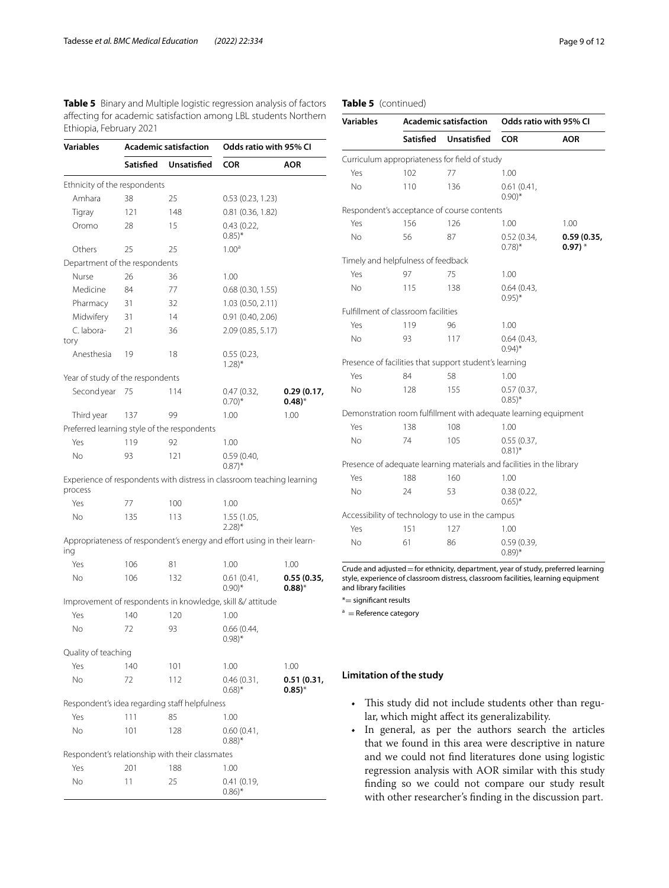<span id="page-8-0"></span>**Table 5** Binary and Multiple logistic regression analysis of factors afecting for academic satisfaction among LBL students Northern Ethiopia, February 2021

| <b>Variables</b>                                | <b>Academic satisfaction</b> |                    | Odds ratio with 95% CI                                                  |                            |
|-------------------------------------------------|------------------------------|--------------------|-------------------------------------------------------------------------|----------------------------|
|                                                 | Satisfied                    | <b>Unsatisfied</b> | <b>COR</b>                                                              | AOR                        |
| Ethnicity of the respondents                    |                              |                    |                                                                         |                            |
| Amhara                                          | 38                           | 25                 | 0.53(0.23, 1.23)                                                        |                            |
| Tigray                                          | 121                          | 148                | 0.81(0.36, 1.82)                                                        |                            |
| Oromo                                           | 28                           | 15                 | 0.43(0.22,<br>$0.85$ <sup>*</sup>                                       |                            |
| Others                                          | 25                           | 25                 | 1.00 <sup>a</sup>                                                       |                            |
| Department of the respondents                   |                              |                    |                                                                         |                            |
| Nurse                                           | 26                           | 36                 | 1.00                                                                    |                            |
| Medicine                                        | 84                           | 77                 | 0.68(0.30, 1.55)                                                        |                            |
| Pharmacy                                        | 31                           | 32                 | 1.03 (0.50, 2.11)                                                       |                            |
| Midwifery                                       | 31                           | 14                 | 0.91(0.40, 2.06)                                                        |                            |
| C. labora-<br>tory                              | 21                           | 36                 | 2.09 (0.85, 5.17)                                                       |                            |
| Anesthesia                                      | 19                           | 18                 | 0.55(0.23,<br>$1.28$ <sup>*</sup>                                       |                            |
| Year of study of the respondents                |                              |                    |                                                                         |                            |
| Second year                                     | 75                           | 114                | 0.47(0.32,<br>$0.70$ <sup>*</sup>                                       | 0.29(0.17,<br>$(0.48)^{*}$ |
| Third year                                      | 137                          | 99                 | 1.00                                                                    | 1.00                       |
| Preferred learning style of the respondents     |                              |                    |                                                                         |                            |
| Yes                                             | 119                          | 92                 | 1.00                                                                    |                            |
| Νo                                              | 93                           | 121                | 0.59(0.40,<br>$(0.87)^*$                                                |                            |
| process                                         |                              |                    | Experience of respondents with distress in classroom teaching learning  |                            |
| Yes                                             | 77                           | 100                | 1.00                                                                    |                            |
| No                                              | 135                          | 113                | 1.55 (1.05,<br>$2.28$ <sup>*</sup>                                      |                            |
| ing                                             |                              |                    | Appropriateness of respondent's energy and effort using in their learn- |                            |
| Yes                                             | 106                          | 81                 | 1.00                                                                    | 1.00                       |
| No                                              | 106                          | 132                | 0.61(0.41,<br>$0.90$ <sup>*</sup>                                       | 0.55(0.35,<br>$(0.88)^*$   |
|                                                 |                              |                    | Improvement of respondents in knowledge, skill &/ attitude              |                            |
| Yes                                             | 140                          | 120                | 1.00                                                                    |                            |
| No                                              | 72                           | 93                 | 0.66(0.44,<br>$0.98$ <sup>*</sup>                                       |                            |
| Quality of teaching                             |                              |                    |                                                                         |                            |
| Yes                                             | 140                          | 101                | 1.00                                                                    | 1.00                       |
| No                                              | 72                           | 112                | 0.46(0.31,<br>$0.68$ <sup>*</sup>                                       | 0.51 (0.31,<br>$(0.85)^*$  |
| Respondent's idea regarding staff helpfulness   |                              |                    |                                                                         |                            |
| Yes                                             | 111                          | 85                 | 1.00                                                                    |                            |
| No                                              | 101                          | 128                | 0.60(0.41,<br>$(0.88)$ <sup>*</sup>                                     |                            |
| Respondent's relationship with their classmates |                              |                    |                                                                         |                            |
| Yes                                             | 201                          | 188                | 1.00                                                                    |                            |
| No                                              | 11                           | 25                 | 0.41 (0.19,<br>$(0.86)^*$                                               |                            |

## **Table 5** (continued)

| <b>Variables</b> | <b>Academic satisfaction</b>               |                                                        | Odds ratio with 95% CI                                                |                         |
|------------------|--------------------------------------------|--------------------------------------------------------|-----------------------------------------------------------------------|-------------------------|
|                  | Satisfied                                  | <b>Unsatisfied</b>                                     | <b>COR</b>                                                            | <b>AOR</b>              |
|                  |                                            | Curriculum appropriateness for field of study          |                                                                       |                         |
| Yes              | 102                                        | 77                                                     | 1.00                                                                  |                         |
| No               | 110                                        | 136                                                    | 0.61(0.41,<br>$0.90$ <sup>*</sup>                                     |                         |
|                  |                                            | Respondent's acceptance of course contents             |                                                                       |                         |
| Yes              | 156                                        | 126                                                    | 1.00                                                                  | 1.00                    |
| No               | 56                                         | 87                                                     | 0.52(0.34,<br>$0.78$ <sup>*</sup>                                     | 0.59(0.35,<br>$0.97)$ * |
|                  | Timely and helpfulness of feedback         |                                                        |                                                                       |                         |
| Yes              | 97                                         | 75                                                     | 1.00                                                                  |                         |
| <b>No</b>        | 115                                        | 138                                                    | 0.64(0.43,<br>$0.95$ <sup>*</sup>                                     |                         |
|                  | <b>Fulfillment of classroom facilities</b> |                                                        |                                                                       |                         |
| Yes              | 119                                        | 96                                                     | 1.00                                                                  |                         |
| No               | 93                                         | 117                                                    | 0.64(0.43,<br>$0.94$ <sup>*</sup>                                     |                         |
|                  |                                            | Presence of facilities that support student's learning |                                                                       |                         |
| Yes              | 84                                         | 58                                                     | 1.00                                                                  |                         |
| No               | 128                                        | 155                                                    | 0.57(0.37,<br>$0.85$ <sup>*</sup>                                     |                         |
|                  |                                            |                                                        | Demonstration room fulfillment with adequate learning equipment       |                         |
| Yes              | 138                                        | 108                                                    | 1.00                                                                  |                         |
| No               | 74                                         | 105                                                    | 0.55(0.37,<br>$0.81$ <sup>*</sup>                                     |                         |
|                  |                                            |                                                        | Presence of adequate learning materials and facilities in the library |                         |
| Yes              | 188                                        | 160                                                    | 1.00                                                                  |                         |
| No               | 24                                         | 53                                                     | 0.38(0.22,<br>$0.65$ <sup>*</sup>                                     |                         |
|                  |                                            | Accessibility of technology to use in the campus       |                                                                       |                         |
| Yes              | 151                                        | 127                                                    | 1.00                                                                  |                         |
| No               | 61                                         | 86                                                     | 0.59(0.39,<br>$(0.89)$ *                                              |                         |

 $\overline{\text{Crude}}$  and adjusted = for ethnicity, department, year of study, preferred learning style, experience of classroom distress, classroom facilities, learning equipment and library facilities

\*= signifcant results

 $a =$  Reference category

# **Limitation of the study**

- This study did not include students other than regular, which might afect its generalizability.
- In general, as per the authors search the articles that we found in this area were descriptive in nature and we could not fnd literatures done using logistic regression analysis with AOR similar with this study fnding so we could not compare our study result with other researcher's fnding in the discussion part.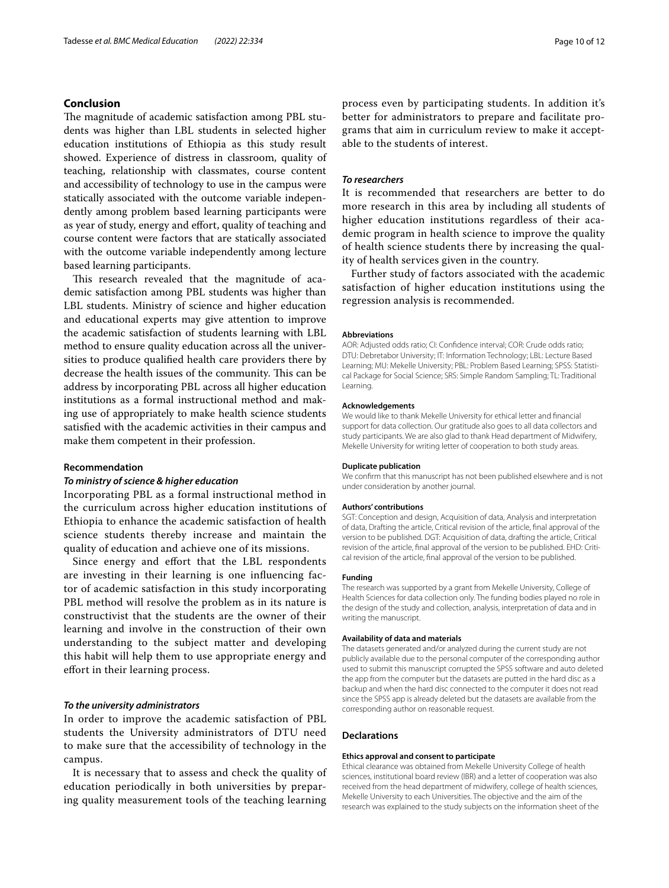# **Conclusion**

The magnitude of academic satisfaction among PBL students was higher than LBL students in selected higher education institutions of Ethiopia as this study result showed. Experience of distress in classroom, quality of teaching, relationship with classmates, course content and accessibility of technology to use in the campus were statically associated with the outcome variable independently among problem based learning participants were as year of study, energy and effort, quality of teaching and course content were factors that are statically associated with the outcome variable independently among lecture based learning participants.

This research revealed that the magnitude of academic satisfaction among PBL students was higher than LBL students. Ministry of science and higher education and educational experts may give attention to improve the academic satisfaction of students learning with LBL method to ensure quality education across all the universities to produce qualifed health care providers there by decrease the health issues of the community. This can be address by incorporating PBL across all higher education institutions as a formal instructional method and making use of appropriately to make health science students satisfed with the academic activities in their campus and make them competent in their profession.

## **Recommendation**

## *To ministry of science & higher education*

Incorporating PBL as a formal instructional method in the curriculum across higher education institutions of Ethiopia to enhance the academic satisfaction of health science students thereby increase and maintain the quality of education and achieve one of its missions.

Since energy and effort that the LBL respondents are investing in their learning is one infuencing factor of academic satisfaction in this study incorporating PBL method will resolve the problem as in its nature is constructivist that the students are the owner of their learning and involve in the construction of their own understanding to the subject matter and developing this habit will help them to use appropriate energy and efort in their learning process.

# *To the university administrators*

In order to improve the academic satisfaction of PBL students the University administrators of DTU need to make sure that the accessibility of technology in the campus.

It is necessary that to assess and check the quality of education periodically in both universities by preparing quality measurement tools of the teaching learning process even by participating students. In addition it's better for administrators to prepare and facilitate programs that aim in curriculum review to make it acceptable to the students of interest.

## *To researchers*

It is recommended that researchers are better to do more research in this area by including all students of higher education institutions regardless of their academic program in health science to improve the quality of health science students there by increasing the quality of health services given in the country.

Further study of factors associated with the academic satisfaction of higher education institutions using the regression analysis is recommended.

#### **Abbreviations**

AOR: Adjusted odds ratio; CI: Confdence interval; COR: Crude odds ratio; DTU: Debretabor University; IT: Information Technology; LBL: Lecture Based Learning; MU: Mekelle University; PBL: Problem Based Learning; SPSS: Statistical Package for Social Science; SRS: Simple Random Sampling; TL: Traditional Learning.

#### **Acknowledgements**

We would like to thank Mekelle University for ethical letter and fnancial support for data collection. Our gratitude also goes to all data collectors and study participants. We are also glad to thank Head department of Midwifery, Mekelle University for writing letter of cooperation to both study areas.

#### **Duplicate publication**

We confrm that this manuscript has not been published elsewhere and is not under consideration by another journal.

### **Authors' contributions**

SGT: Conception and design, Acquisition of data, Analysis and interpretation of data, Drafting the article, Critical revision of the article, fnal approval of the version to be published. DGT: Acquisition of data, drafting the article, Critical revision of the article, fnal approval of the version to be published. EHD: Critical revision of the article, fnal approval of the version to be published.

#### **Funding**

The research was supported by a grant from Mekelle University, College of Health Sciences for data collection only. The funding bodies played no role in the design of the study and collection, analysis, interpretation of data and in writing the manuscript.

### **Availability of data and materials**

The datasets generated and/or analyzed during the current study are not publicly available due to the personal computer of the corresponding author used to submit this manuscript corrupted the SPSS software and auto deleted the app from the computer but the datasets are putted in the hard disc as a backup and when the hard disc connected to the computer it does not read since the SPSS app is already deleted but the datasets are available from the corresponding author on reasonable request.

### **Declarations**

## **Ethics approval and consent to participate**

Ethical clearance was obtained from Mekelle University College of health sciences, institutional board review (IBR) and a letter of cooperation was also received from the head department of midwifery, college of health sciences, Mekelle University to each Universities. The objective and the aim of the research was explained to the study subjects on the information sheet of the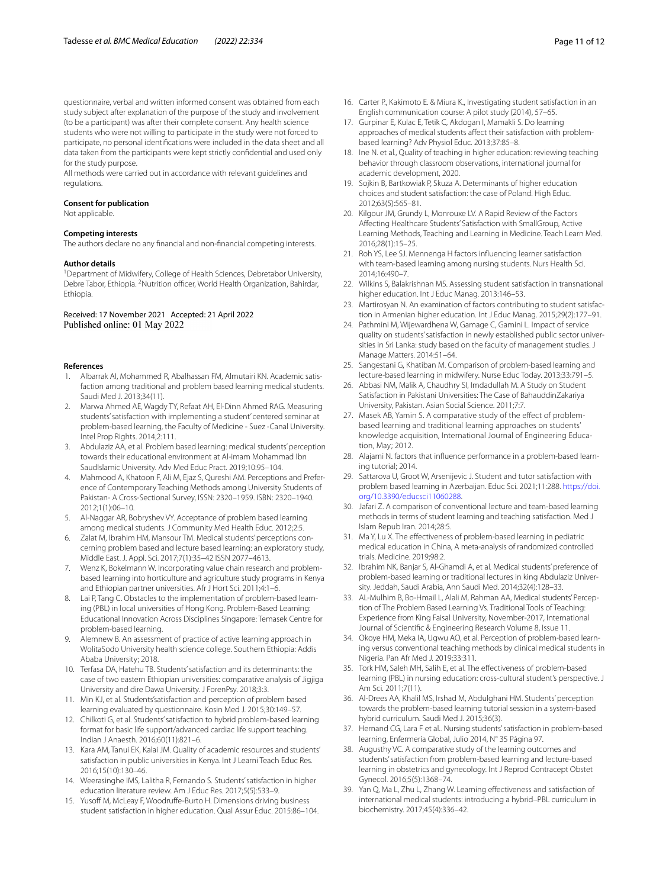questionnaire, verbal and written informed consent was obtained from each study subject after explanation of the purpose of the study and involvement (to be a participant) was after their complete consent. Any health science students who were not willing to participate in the study were not forced to participate, no personal identifcations were included in the data sheet and all data taken from the participants were kept strictly confdential and used only for the study purpose.

All methods were carried out in accordance with relevant guidelines and regulations.

#### **Consent for publication**

Not applicable.

## **Competing interests**

The authors declare no any fnancial and non-fnancial competing interests.

### **Author details**

<sup>1</sup> Department of Midwifery, College of Health Sciences, Debretabor University, Debre Tabor, Ethiopia. <sup>2</sup> Nutrition officer, World Health Organization, Bahirdar, Ethiopia.

## Received: 17 November 2021 Accepted: 21 April 2022 Published online: 01 May 2022

#### **References**

- <span id="page-10-0"></span>1. Albarrak AI, Mohammed R, Abalhassan FM, Almutairi KN. Academic satisfaction among traditional and problem based learning medical students. Saudi Med J. 2013;34(11).
- <span id="page-10-1"></span>2. Marwa Ahmed AE, Wagdy TY, Refaat AH, El-Dinn Ahmed RAG. Measuring students' satisfaction with implementing a student' centered seminar at problem-based learning, the Faculty of Medicine - Suez -Canal University. Intel Prop Rights. 2014;2:111.
- <span id="page-10-2"></span>3. Abdulaziz AA, et al. Problem based learning: medical students' perception towards their educational environment at Al-imam Mohammad Ibn SaudIslamic University. Adv Med Educ Pract. 2019;10:95–104.
- <span id="page-10-3"></span>4. Mahmood A, Khatoon F, Ali M, Ejaz S, Qureshi AM. Perceptions and Preference of Contemporary Teaching Methods among University Students of Pakistan- A Cross-Sectional Survey, ISSN: 2320–1959. ISBN: 2320–1940. 2012;1(1):06–10.
- <span id="page-10-4"></span>5. Al-Naggar AR, Bobryshev VY. Acceptance of problem based learning among medical students. J Community Med Health Educ. 2012;2:5.
- <span id="page-10-5"></span>6. Zalat M, Ibrahim HM, Mansour TM. Medical students' perceptions concerning problem based and lecture based learning: an exploratory study, Middle East. J. Appl. Sci. 2017;7(1):35–42 ISSN 2077–4613.
- <span id="page-10-6"></span>7. Wenz K, Bokelmann W. Incorporating value chain research and problembased learning into horticulture and agriculture study programs in Kenya and Ethiopian partner universities. Afr J Hort Sci. 2011;4:1–6.
- <span id="page-10-7"></span>8. Lai P, Tang C. Obstacles to the implementation of problem-based learning (PBL) in local universities of Hong Kong. Problem-Based Learning: Educational Innovation Across Disciplines Singapore: Temasek Centre for problem-based learning.
- <span id="page-10-8"></span>Alemnew B. An assessment of practice of active learning approach in WolitaSodo University health science college. Southern Ethiopia: Addis Ababa University; 2018.
- <span id="page-10-9"></span>10. Terfasa DA, Hatehu TB. Students' satisfaction and its determinants: the case of two eastern Ethiopian universities: comparative analysis of Jigjiga University and dire Dawa University. J ForenPsy. 2018;3:3.
- <span id="page-10-10"></span>11. Min KJ, et al. Students'satisfaction and perception of problem based learning evaluated by questionnaire. Kosin Med J. 2015;30:149–57.
- <span id="page-10-11"></span>12. Chilkoti G, et al. Students' satisfaction to hybrid problem-based learning format for basic life support/advanced cardiac life support teaching. Indian J Anaesth. 2016;60(11):821–6.
- 13. Kara AM, Tanui EK, Kalai JM. Quality of academic resources and students' satisfaction in public universities in Kenya. Int J Learni Teach Educ Res. 2016;15(10):130–46.
- 14. Weerasinghe IMS, Lalitha R, Fernando S. Students' satisfaction in higher education literature review. Am J Educ Res. 2017;5(5):533–9.
- 15. Yusoff M, McLeay F, Woodruffe-Burto H. Dimensions driving business student satisfaction in higher education. Qual Assur Educ. 2015:86–104.
- <span id="page-10-14"></span>16. Carter P., Kakimoto E. & Miura K., Investigating student satisfaction in an English communication course: A pilot study (2014), 57–65.
- <span id="page-10-15"></span>17. Gurpinar E, Kulac E, Tetik C, Akdogan I, Mamakli S. Do learning approaches of medical students afect their satisfaction with problembased learning? Adv Physiol Educ. 2013;37:85–8.
- 18. Ine N. et al., Quality of teaching in higher education: reviewing teaching behavior through classroom observations, international journal for academic development, 2020.
- 19. Sojkin B, Bartkowiak P, Skuza A. Determinants of higher education choices and student satisfaction: the case of Poland. High Educ. 2012;63(5):565–81.
- 20. Kilgour JM, Grundy L, Monrouxe LV. A Rapid Review of the Factors Afecting Healthcare Students' Satisfaction with SmallGroup, Active Learning Methods, Teaching and Learning in Medicine. Teach Learn Med. 2016;28(1):15–25.
- 21. Roh YS, Lee SJ. Mennenga H factors infuencing learner satisfaction with team-based learning among nursing students. Nurs Health Sci. 2014;16:490–7.
- 22. Wilkins S, Balakrishnan MS. Assessing student satisfaction in transnational higher education. Int J Educ Manag. 2013:146–53.
- 23. Martirosyan N. An examination of factors contributing to student satisfaction in Armenian higher education. Int J Educ Manag. 2015;29(2):177–91.
- <span id="page-10-12"></span>24. Pathmini M, Wijewardhena W, Gamage C, Gamini L. Impact of service quality on students' satisfaction in newly established public sector universities in Sri Lanka: study based on the faculty of management studies. J Manage Matters. 2014:51–64.
- <span id="page-10-13"></span>25. Sangestani G, Khatiban M. Comparison of problem-based learning and lecture-based learning in midwifery. Nurse Educ Today. 2013;33:791–5.
- 26. Abbasi NM, Malik A, Chaudhry SI, Imdadullah M. A Study on Student Satisfaction in Pakistani Universities: The Case of BahauddinZakariya University, Pakistan. Asian Social Science. 2011;7:7.
- 27. Masek AB, Yamin S. A comparative study of the effect of problembased learning and traditional learning approaches on students' knowledge acquisition, International Journal of Engineering Education, May; 2012.
- 28. Alajami N. factors that infuence performance in a problem-based learning tutorial; 2014.
- 29. Sattarova U, Groot W, Arsenijevic J. Student and tutor satisfaction with problem based learning in Azerbaijan. Educ Sci. 2021;11:288. [https://doi.](https://doi.org/10.3390/educsci11060288) [org/10.3390/educsci11060288.](https://doi.org/10.3390/educsci11060288)
- 30. Jafari Z. A comparison of conventional lecture and team-based learning methods in terms of student learning and teaching satisfaction. Med J Islam Repub Iran. 2014;28:5.
- 31. Ma Y, Lu X. The efectiveness of problem-based learning in pediatric medical education in China, A meta-analysis of randomized controlled trials. Medicine. 2019;98:2.
- 32. Ibrahim NK, Banjar S, Al-Ghamdi A, et al. Medical students' preference of problem-based learning or traditional lectures in king Abdulaziz University. Jeddah, Saudi Arabia, Ann Saudi Med. 2014;32(4):128–33.
- 33. AL-Mulhim B, Bo-Hmail L, Alali M, Rahman AA, Medical students' Perception of The Problem Based Learning Vs. Traditional Tools of Teaching: Experience from King Faisal University, November-2017, International Journal of Scientifc & Engineering Research Volume 8, Issue 11.
- 34. Okoye HM, Meka IA, Ugwu AO, et al. Perception of problem-based learning versus conventional teaching methods by clinical medical students in Nigeria. Pan Afr Med J. 2019;33:311.
- 35. Tork HM, Saleh MH, Salih E, et al. The efectiveness of problem-based learning (PBL) in nursing education: cross-cultural student's perspective. J Am Sci. 2011;7(11).
- 36. Al-Drees AA, Khalil MS, Irshad M, Abdulghani HM. Students' perception towards the problem-based learning tutorial session in a system-based hybrid curriculum. Saudi Med J. 2015;36(3).
- 37. Hernand CG, Lara F et al.. Nursing students' satisfaction in problem-based learning, Enfermería Global, Julio 2014, N° 35 Página 97.
- 38. Augusthy VC. A comparative study of the learning outcomes and students' satisfaction from problem-based learning and lecture-based learning in obstetrics and gynecology. Int J Reprod Contracept Obstet Gynecol. 2016;5(5):1368–74.
- 39. Yan Q, Ma L, Zhu L, Zhang W. Learning efectiveness and satisfaction of international medical students: introducing a hybrid–PBL curriculum in biochemistry. 2017;45(4):336–42.